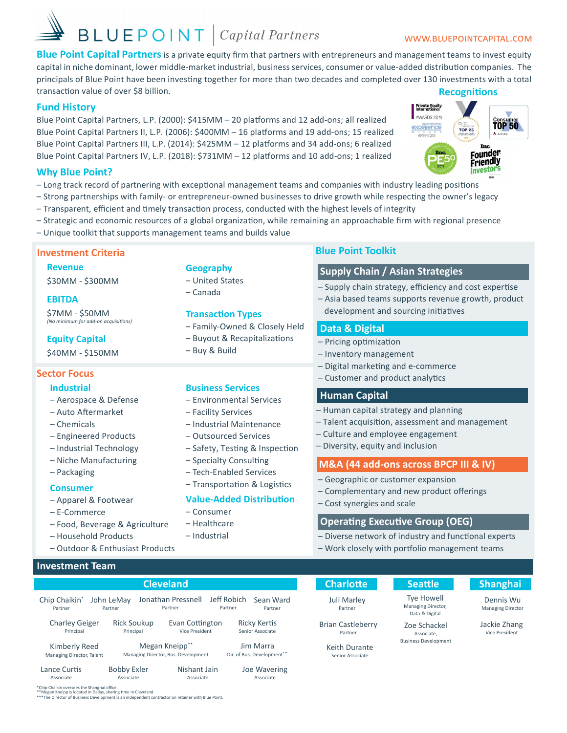# **BLUEPOINT** *Capital Partners*

## WWW.BLUEPOINTCAPITAL.COM

Blue Point Capital Partners is a private equity firm that partners with entrepreneurs and management teams to invest equity capital in niche dominant, lower middle-market industrial, business services, consumer or value-added distribution companies. The principals of Blue Point have been investing together for more than two decades and completed over 130 investments with a total transaction value of over \$8 billion. **Recognitions** 

## **Fund History**

Blue Point Capital Partners, L.P. (2000): \$415MM - 20 platforms and 12 add-ons; all realized Blue Point Capital Partners II, L.P. (2006): \$400MM - 16 platforms and 19 add-ons; 15 realized Blue Point Capital Partners III, L.P. (2014): \$425MM - 12 platforms and 34 add-ons; 6 realized Blue Point Capital Partners IV, L.P. (2018): \$731MM - 12 platforms and 10 add-ons; 1 realized

**Geography** 

- Canada

- United States

- Buy & Build

**Transaction Types** 

**Business Services** 

- Facility Services

- Environmental Services

- Industrial Maintenance

- Safety, Testing & Inspection

- Transportation & Logistics

**Value-Added Distribution** 

- Outsourced Services

- Specialty Consulting

 $-$  Consumer

- Healthcare

- Industrial

Nishant Jain

Associate

- Tech-Enabled Services

- Family-Owned & Closely Held

- Buyout & Recapitalizations



## **Why Blue Point?**

- Long track record of partnering with exceptional management teams and companies with industry leading positions
- Strong partnerships with family- or entrepreneur-owned businesses to drive growth while respecting the owner's legacy
- Transparent, efficient and timely transaction process, conducted with the highest levels of integrity
- Strategic and economic resources of a global organization, while remaining an approachable firm with regional presence
- Unique toolkit that supports management teams and builds value

## **Investment Criteria**

## **Revenue**

\$30MM - \$300MM

## **EBITDA**

**\$7MM - \$50MM** (No minimum for add-on acquisitions)

## **Equity Capital**

\$40MM - \$150MM

## **Sector Focus**

## **Industrial**

- Aerospace & Defense
- Auto Aftermarket
- Chemicals
- Engineered Products
- Industrial Technology
- Niche Manufacturing
- Packaging

## **Consumer**

- Apparel & Footwear
- E-Commerce
- Food, Beverage & Agriculture
- Household Products
- Outdoor & Enthusiast Products

## **Investment Team**

Lance Curtis

Associate

## **Cleveland**

| Chip Chaikin*             | John LeMay |                                     | Jonathan Pressnell |                       |  | Jeff Robich                | Sean Ward |
|---------------------------|------------|-------------------------------------|--------------------|-----------------------|--|----------------------------|-----------|
| Partner                   | Partner    |                                     | Partner            |                       |  | Partner                    | Partner   |
| <b>Charley Geiger</b>     |            | <b>Rick Soukup</b>                  |                    | Evan Cottington       |  | <b>Ricky Kertis</b>        |           |
| Principal                 |            | Principal                           |                    | <b>Vice President</b> |  | Senior Associate           |           |
| Kimberly Reed             |            | Megan Kneipp**                      |                    |                       |  | Jim Marra                  |           |
| Managing Director, Talent |            | Managing Director, Bus. Development |                    |                       |  | Dir. of Bus. Development"" |           |

Dir. of Bus. Development

### Ine Wavering Associate

## **Blue Point Toolkit**

## **Supply Chain / Asian Strategies**

- Supply chain strategy, efficiency and cost expertise

- Asia based teams supports revenue growth, product development and sourcing initiatives

## Data & Digital

- Pricing optimization
- Inventory management
- Digital marketing and e-commerce
- Customer and product analytics

## **Human Capital**

- Human capital strategy and planning
- Talent acquisition, assessment and management
- Culture and employee engagement
- Diversity, equity and inclusion

## M&A (44 add-ons across BPCP III & IV)

- Geographic or customer expansion
- Complementary and new product offerings
- Cost synergies and scale

## **Operating Executive Group (OEG)**

- Diverse network of industry and functional experts
- Work closely with portfolio management teams

## **Charlotte** Juli Marley Partner

**Brian Castleberry** 

Partner

Keith Durante

Senior Associate

## **Seattle** Tye Howell

Managing Director,

Data & Digital

Zoe Schackel

Associate, **Business Development**  **Shanghai** Dennis Wu

**Managing Director** 

Jackie Zhang Vice President

\*Chip Chaikin oversees the Shanghai office

**Bobby Exler** 

Associate

\*Megan Kneipp is located in Dallas, sharing time in Cleveland.<br>\*\*The Director of Business Development is an independent contractor on retainer with Blue Point.